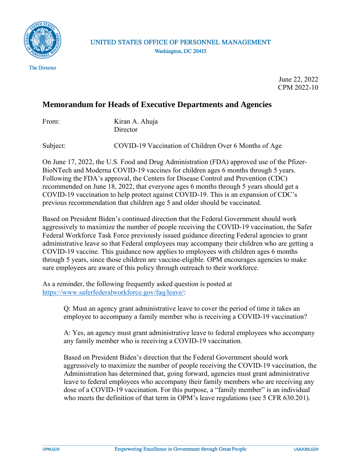

UNITED STATES OFFICE OF PERSONNEL MANAGEMENT Washington, DC 20415

> June 22, 2022 CPM 2022-10

## **Memorandum for Heads of Executive Departments and Agencies**

| From: | Kiran A. Ahuja |
|-------|----------------|
|       | Director       |

Subject: **COVID-19 Vaccination of Children Over 6 Months of Age** 

On June 17, 2022, the U.S. Food and Drug Administration (FDA) approved use of the Pfizer-BioNTech and Moderna COVID-19 vaccines for children ages 6 months through 5 years. Following the FDA's approval, the Centers for Disease Control and Prevention (CDC) recommended on June 18, 2022, that everyone ages 6 months through 5 years should get a COVID-19 vaccination to help protect against COVID-19. This is an expansion of CDC's previous recommendation that children age 5 and older should be vaccinated.

Based on President Biden's continued direction that the Federal Government should work aggressively to maximize the number of people receiving the COVID-19 vaccination, the Safer Federal Workforce Task Force previously issued guidance directing Federal agencies to grant administrative leave so that Federal employees may accompany their children who are getting a COVID-19 vaccine. This guidance now applies to employees with children ages 6 months through 5 years, since those children are vaccine-eligible. OPM encourages agencies to make sure employees are aware of this policy through outreach to their workforce.

As a reminder, the following frequently asked question is posted at [https://www.saferfederalworkforce.gov/faq/leave/:](https://www.saferfederalworkforce.gov/faq/leave/)

> Q: Must an agency grant administrative leave to cover the period of time it takes an employee to accompany a family member who is receiving a COVID-19 vaccination?

A: Yes, an agency must grant administrative leave to federal employees who accompany any family member who is receiving a COVID-19 vaccination.

Based on President Biden's direction that the Federal Government should work aggressively to maximize the number of people receiving the COVID-19 vaccination, the Administration has determined that, going forward, agencies must grant administrative leave to federal employees who accompany their family members who are receiving any dose of a COVID-19 vaccination. For this purpose, a "family member" is an individual who meets the definition of that term in OPM's leave regulations (see 5 CFR 630.201).